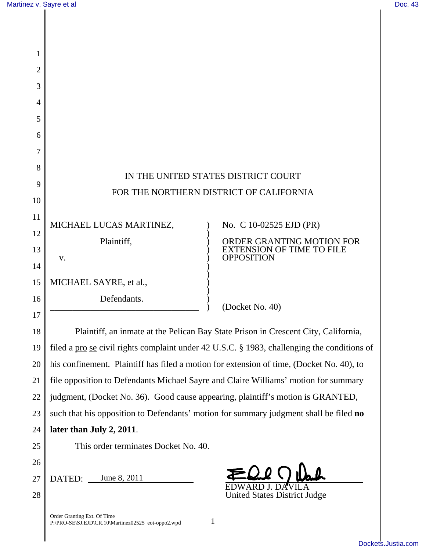| 1              |                                                                                             |                                                       |
|----------------|---------------------------------------------------------------------------------------------|-------------------------------------------------------|
| $\overline{2}$ |                                                                                             |                                                       |
| 3              |                                                                                             |                                                       |
| 4              |                                                                                             |                                                       |
| 5              |                                                                                             |                                                       |
| 6              |                                                                                             |                                                       |
| 7              |                                                                                             |                                                       |
| 8              |                                                                                             | IN THE UNITED STATES DISTRICT COURT                   |
| 9              | FOR THE NORTHERN DISTRICT OF CALIFORNIA                                                     |                                                       |
| 10             |                                                                                             |                                                       |
| 11             | MICHAEL LUCAS MARTINEZ,                                                                     | No. C 10-02525 EJD (PR)                               |
| 12             | Plaintiff,                                                                                  | ORDER GRANTING MOTION FOR                             |
| 13             | V.                                                                                          | <b>EXTENSION OF TIME TO FILE</b><br><b>OPPOSITION</b> |
| 14             |                                                                                             |                                                       |
| 15             | MICHAEL SAYRE, et al.,                                                                      |                                                       |
| 16             | Defendants.                                                                                 | (Docket No. 40)                                       |
| 17             |                                                                                             |                                                       |
| 18             | Plaintiff, an inmate at the Pelican Bay State Prison in Crescent City, California,          |                                                       |
| 19             | filed a pro se civil rights complaint under 42 U.S.C. § 1983, challenging the conditions of |                                                       |
| 20             | his confinement. Plaintiff has filed a motion for extension of time, (Docket No. 40), to    |                                                       |
| 21             | file opposition to Defendants Michael Sayre and Claire Williams' motion for summary         |                                                       |
| 22             | judgment, (Docket No. 36). Good cause appearing, plaintiff's motion is GRANTED,             |                                                       |
| 23             | such that his opposition to Defendants' motion for summary judgment shall be filed no       |                                                       |
| 24             | later than July 2, 2011.                                                                    |                                                       |
| 25             | This order terminates Docket No. 40.                                                        |                                                       |
| 26             |                                                                                             |                                                       |
| 27             | June 8, 2011<br>DATED:                                                                      |                                                       |
| 28             |                                                                                             | <b>United States District Judge</b>                   |
|                | Order Granting Ext. Of Time<br>P:\PRO-SE\SJ.EJD\CR.10\Martinez02525_eot-oppo2.wpd           | 1                                                     |